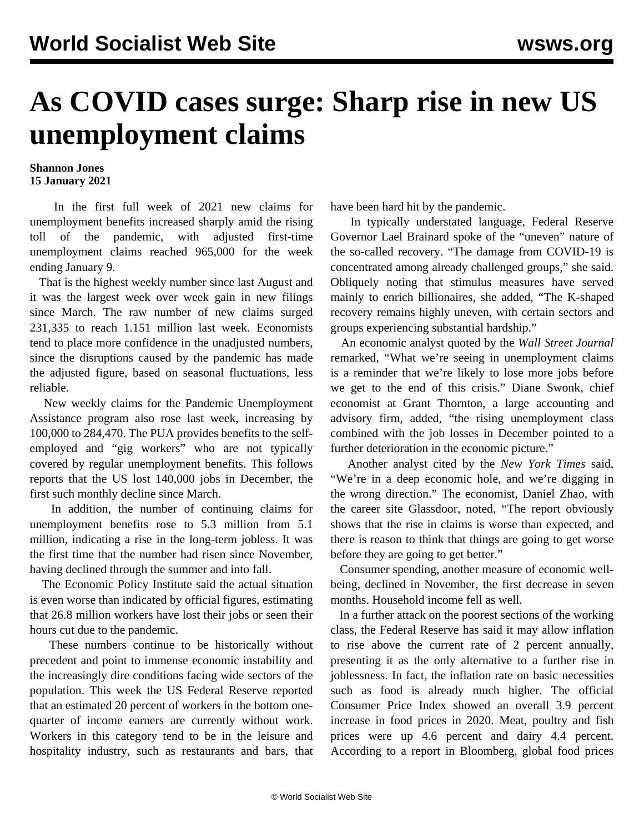## **As COVID cases surge: Sharp rise in new US unemployment claims**

## **Shannon Jones 15 January 2021**

 In the first full week of 2021 new claims for unemployment benefits increased sharply amid the rising toll of the pandemic, with adjusted first-time unemployment claims reached 965,000 for the week ending January 9.

 That is the highest weekly number since last August and it was the largest week over week gain in new filings since March. The raw number of new claims surged 231,335 to reach 1.151 million last week. Economists tend to place more confidence in the unadjusted numbers, since the disruptions caused by the pandemic has made the adjusted figure, based on seasonal fluctuations, less reliable.

 New weekly claims for the Pandemic Unemployment Assistance program also rose last week, increasing by 100,000 to 284,470. The PUA provides benefits to the selfemployed and "gig workers" who are not typically covered by regular unemployment benefits. This follows reports that the US lost 140,000 jobs in December, the first such monthly decline since March.

 In addition, the number of continuing claims for unemployment benefits rose to 5.3 million from 5.1 million, indicating a rise in the long-term jobless. It was the first time that the number had risen since November, having declined through the summer and into fall.

 The Economic Policy Institute said the actual situation is even worse than indicated by official figures, estimating that 26.8 million workers have lost their jobs or seen their hours cut due to the pandemic.

 These numbers continue to be historically without precedent and point to immense economic instability and the increasingly dire conditions facing wide sectors of the population. This week the US Federal Reserve reported that an estimated 20 percent of workers in the bottom onequarter of income earners are currently without work. Workers in this category tend to be in the leisure and hospitality industry, such as restaurants and bars, that

have been hard hit by the pandemic.

 In typically understated language, Federal Reserve Governor Lael Brainard spoke of the "uneven" nature of the so-called recovery. "The damage from COVID-19 is concentrated among already challenged groups," she said. Obliquely noting that stimulus measures have served mainly to enrich billionaires, she added, "The K-shaped recovery remains highly uneven, with certain sectors and groups experiencing substantial hardship."

 An economic analyst quoted by the *Wall Street Journal* remarked, "What we're seeing in unemployment claims is a reminder that we're likely to lose more jobs before we get to the end of this crisis." Diane Swonk, chief economist at Grant Thornton, a large accounting and advisory firm, added, "the rising unemployment class combined with the job losses in December pointed to a further deterioration in the economic picture."

 Another analyst cited by the *New York Times* said, "We're in a deep economic hole, and we're digging in the wrong direction." The economist, Daniel Zhao, with the career site Glassdoor, noted, "The report obviously shows that the rise in claims is worse than expected, and there is reason to think that things are going to get worse before they are going to get better."

 Consumer spending, another measure of economic wellbeing, declined in November, the first decrease in seven months. Household income fell as well.

 In a further attack on the poorest sections of the working class, the Federal Reserve has said it may allow inflation to rise above the current rate of 2 percent annually, presenting it as the only alternative to a further rise in joblessness. In fact, the inflation rate on basic necessities such as food is already much higher. The official Consumer Price Index showed an overall 3.9 percent increase in food prices in 2020. Meat, poultry and fish prices were up 4.6 percent and dairy 4.4 percent. According to a report in Bloomberg, global food prices